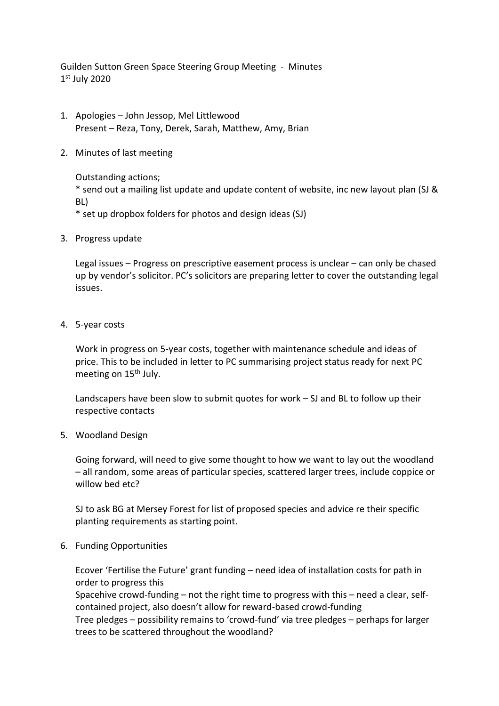Guilden Sutton Green Space Steering Group Meeting - Minutes 1 st July 2020

- 1. Apologies John Jessop, Mel Littlewood Present – Reza, Tony, Derek, Sarah, Matthew, Amy, Brian
- 2. Minutes of last meeting

Outstanding actions;

\* send out a mailing list update and update content of website, inc new layout plan (SJ & BL)

\* set up dropbox folders for photos and design ideas (SJ)

3. Progress update

Legal issues – Progress on prescriptive easement process is unclear – can only be chased up by vendor's solicitor. PC's solicitors are preparing letter to cover the outstanding legal issues.

4. 5-year costs

Work in progress on 5-year costs, together with maintenance schedule and ideas of price. This to be included in letter to PC summarising project status ready for next PC meeting on 15<sup>th</sup> July.

Landscapers have been slow to submit quotes for work – SJ and BL to follow up their respective contacts

5. Woodland Design

Going forward, will need to give some thought to how we want to lay out the woodland – all random, some areas of particular species, scattered larger trees, include coppice or willow bed etc?

SJ to ask BG at Mersey Forest for list of proposed species and advice re their specific planting requirements as starting point.

## 6. Funding Opportunities

Ecover 'Fertilise the Future' grant funding – need idea of installation costs for path in order to progress this

Spacehive crowd-funding – not the right time to progress with this – need a clear, selfcontained project, also doesn't allow for reward-based crowd-funding Tree pledges – possibility remains to 'crowd-fund' via tree pledges – perhaps for larger

trees to be scattered throughout the woodland?